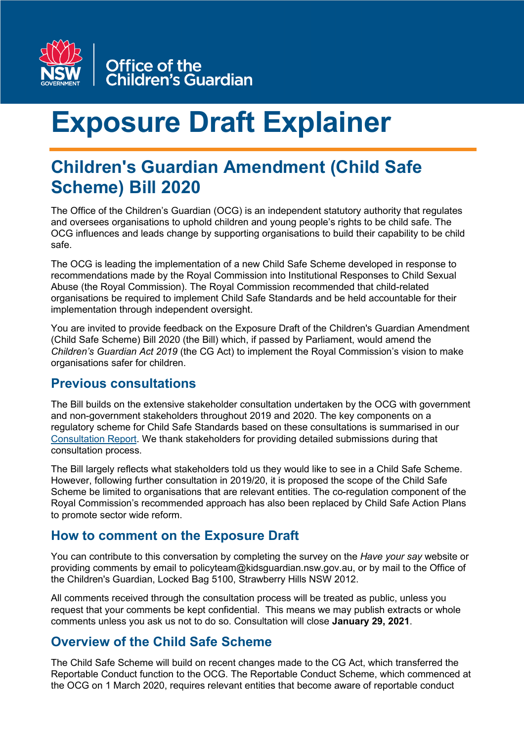

# **Exposure Draft Explainer**

# **Children's Guardian Amendment (Child Safe Scheme) Bill 2020**

The Office of the Children's Guardian (OCG) is an independent statutory authority that regulates and oversees organisations to uphold children and young people's rights to be child safe. The OCG influences and leads change by supporting organisations to build their capability to be child safe.

The OCG is leading the implementation of a new Child Safe Scheme developed in response to recommendations made by the Royal Commission into Institutional Responses to Child Sexual Abuse (the Royal Commission). The Royal Commission recommended that child-related organisations be required to implement Child Safe Standards and be held accountable for their implementation through independent oversight.

You are invited to provide feedback on the Exposure Draft of the Children's Guardian Amendment (Child Safe Scheme) Bill 2020 (the Bill) which, if passed by Parliament, would amend the *Children's Guardian Act 2019* (the CG Act) to implement the Royal Commission's vision to make organisations safer for children.

#### **Previous consultations**

The Bill builds on the extensive stakeholder consultation undertaken by the OCG with government and non-government stakeholders throughout 2019 and 2020. The key components on a regulatory scheme for Child Safe Standards based on these consultations is summarised in our [Consultation Report.](https://www.kidsguardian.nsw.gov.au/about-us/news/new-report-outlines-key-elements-of-a-child-safe-regulatory-model-in-nsw) We thank stakeholders for providing detailed submissions during that consultation process.

The Bill largely reflects what stakeholders told us they would like to see in a Child Safe Scheme. However, following further consultation in 2019/20, it is proposed the scope of the Child Safe Scheme be limited to organisations that are relevant entities. The co-regulation component of the Royal Commission's recommended approach has also been replaced by Child Safe Action Plans to promote sector wide reform.

# **How to comment on the Exposure Draft**

You can contribute to this conversation by completing the survey on the *Have your say* website or providing comments by email to policyteam@kidsguardian.nsw.gov.au, or by mail to the Office of the Children's Guardian, Locked Bag 5100, Strawberry Hills NSW 2012.

All comments received through the consultation process will be treated as public, unless you request that your comments be kept confidential. This means we may publish extracts or whole comments unless you ask us not to do so. Consultation will close **January 29, 2021**.

# **Overview of the Child Safe Scheme**

The Child Safe Scheme will build on recent changes made to the CG Act, which transferred the Reportable Conduct function to the OCG. The Reportable Conduct Scheme, which commenced at the OCG on 1 March 2020, requires relevant entities that become aware of reportable conduct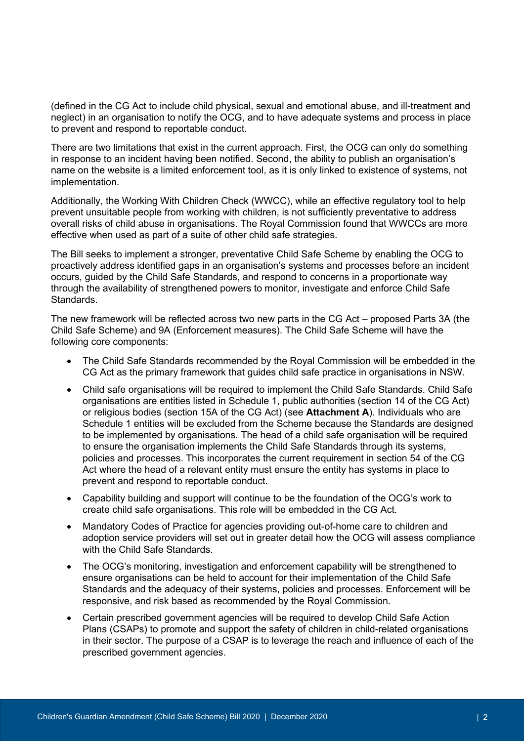(defined in the CG Act to include child physical, sexual and emotional abuse, and ill-treatment and neglect) in an organisation to notify the OCG, and to have adequate systems and process in place to prevent and respond to reportable conduct.

There are two limitations that exist in the current approach. First, the OCG can only do something in response to an incident having been notified. Second, the ability to publish an organisation's name on the website is a limited enforcement tool, as it is only linked to existence of systems, not implementation.

Additionally, the Working With Children Check (WWCC), while an effective regulatory tool to help prevent unsuitable people from working with children, is not sufficiently preventative to address overall risks of child abuse in organisations. The Royal Commission found that WWCCs are more effective when used as part of a suite of other child safe strategies.

The Bill seeks to implement a stronger, preventative Child Safe Scheme by enabling the OCG to proactively address identified gaps in an organisation's systems and processes before an incident occurs, guided by the Child Safe Standards, and respond to concerns in a proportionate way through the availability of strengthened powers to monitor, investigate and enforce Child Safe Standards.

The new framework will be reflected across two new parts in the CG Act – proposed Parts 3A (the Child Safe Scheme) and 9A (Enforcement measures). The Child Safe Scheme will have the following core components:

- The Child Safe Standards recommended by the Royal Commission will be embedded in the CG Act as the primary framework that guides child safe practice in organisations in NSW.
- Child safe organisations will be required to implement the Child Safe Standards. Child Safe organisations are entities listed in Schedule 1, public authorities (section 14 of the CG Act) or religious bodies (section 15A of the CG Act) (see **Attachment A**). Individuals who are Schedule 1 entities will be excluded from the Scheme because the Standards are designed to be implemented by organisations. The head of a child safe organisation will be required to ensure the organisation implements the Child Safe Standards through its systems, policies and processes. This incorporates the current requirement in section 54 of the CG Act where the head of a relevant entity must ensure the entity has systems in place to prevent and respond to reportable conduct.
- Capability building and support will continue to be the foundation of the OCG's work to create child safe organisations. This role will be embedded in the CG Act.
- Mandatory Codes of Practice for agencies providing out-of-home care to children and adoption service providers will set out in greater detail how the OCG will assess compliance with the Child Safe Standards.
- The OCG's monitoring, investigation and enforcement capability will be strengthened to ensure organisations can be held to account for their implementation of the Child Safe Standards and the adequacy of their systems, policies and processes. Enforcement will be responsive, and risk based as recommended by the Royal Commission.
- Certain prescribed government agencies will be required to develop Child Safe Action Plans (CSAPs) to promote and support the safety of children in child-related organisations in their sector. The purpose of a CSAP is to leverage the reach and influence of each of the prescribed government agencies.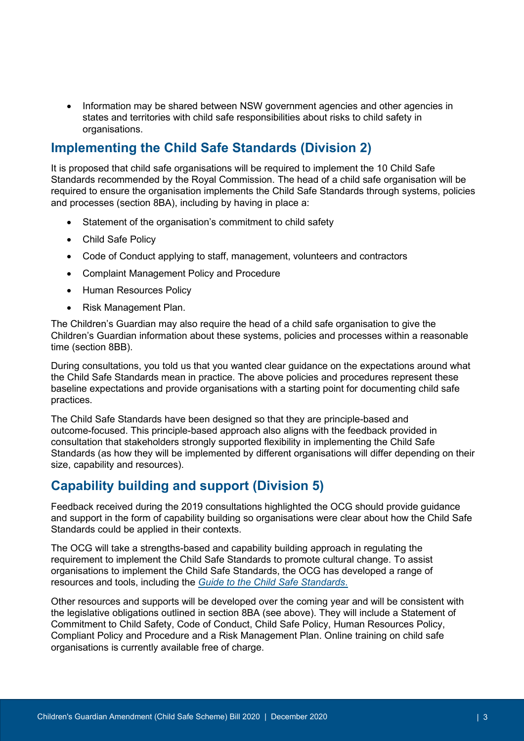• Information may be shared between NSW government agencies and other agencies in states and territories with child safe responsibilities about risks to child safety in organisations.

## **Implementing the Child Safe Standards (Division 2)**

It is proposed that child safe organisations will be required to implement the 10 Child Safe Standards recommended by the Royal Commission. The head of a child safe organisation will be required to ensure the organisation implements the Child Safe Standards through systems, policies and processes (section 8BA), including by having in place a:

- Statement of the organisation's commitment to child safety
- Child Safe Policy
- Code of Conduct applying to staff, management, volunteers and contractors
- Complaint Management Policy and Procedure
- Human Resources Policy
- Risk Management Plan.

The Children's Guardian may also require the head of a child safe organisation to give the Children's Guardian information about these systems, policies and processes within a reasonable time (section 8BB).

During consultations, you told us that you wanted clear guidance on the expectations around what the Child Safe Standards mean in practice. The above policies and procedures represent these baseline expectations and provide organisations with a starting point for documenting child safe practices.

The Child Safe Standards have been designed so that they are principle-based and outcome-focused. This principle-based approach also aligns with the feedback provided in consultation that stakeholders strongly supported flexibility in implementing the Child Safe Standards (as how they will be implemented by different organisations will differ depending on their size, capability and resources).

# **Capability building and support (Division 5)**

Feedback received during the 2019 consultations highlighted the OCG should provide guidance and support in the form of capability building so organisations were clear about how the Child Safe Standards could be applied in their contexts.

The OCG will take a strengths-based and capability building approach in regulating the requirement to implement the Child Safe Standards to promote cultural change. To assist organisations to implement the Child Safe Standards, the OCG has developed a range of resources and tools, including the *[Guide to the Child Safe Standards](https://www.kidsguardian.nsw.gov.au/ArticleDocuments/838/ChildSafeStandardsGuide.pdf.aspx?Embed=Y)*.

Other resources and supports will be developed over the coming year and will be consistent with the legislative obligations outlined in section 8BA (see above). They will include a Statement of Commitment to Child Safety, Code of Conduct, Child Safe Policy, Human Resources Policy, Compliant Policy and Procedure and a Risk Management Plan. Online training on child safe organisations is currently available free of charge.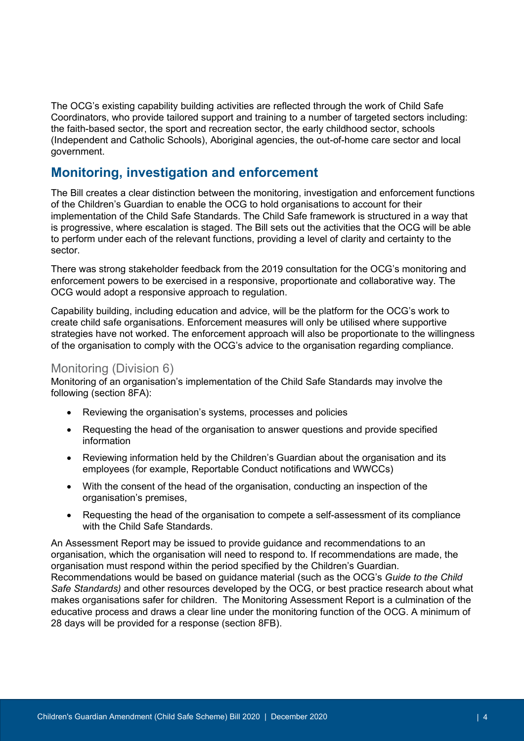The OCG's existing capability building activities are reflected through the work of Child Safe Coordinators, who provide tailored support and training to a number of targeted sectors including: the faith-based sector, the sport and recreation sector, the early childhood sector, schools (Independent and Catholic Schools), Aboriginal agencies, the out-of-home care sector and local government.

### **Monitoring, investigation and enforcement**

The Bill creates a clear distinction between the monitoring, investigation and enforcement functions of the Children's Guardian to enable the OCG to hold organisations to account for their implementation of the Child Safe Standards. The Child Safe framework is structured in a way that is progressive, where escalation is staged. The Bill sets out the activities that the OCG will be able to perform under each of the relevant functions, providing a level of clarity and certainty to the sector.

There was strong stakeholder feedback from the 2019 consultation for the OCG's monitoring and enforcement powers to be exercised in a responsive, proportionate and collaborative way. The OCG would adopt a responsive approach to regulation.

Capability building, including education and advice, will be the platform for the OCG's work to create child safe organisations. Enforcement measures will only be utilised where supportive strategies have not worked. The enforcement approach will also be proportionate to the willingness of the organisation to comply with the OCG's advice to the organisation regarding compliance.

#### Monitoring (Division 6)

Monitoring of an organisation's implementation of the Child Safe Standards may involve the following (section 8FA):

- Reviewing the organisation's systems, processes and policies
- Requesting the head of the organisation to answer questions and provide specified information
- Reviewing information held by the Children's Guardian about the organisation and its employees (for example, Reportable Conduct notifications and WWCCs)
- With the consent of the head of the organisation, conducting an inspection of the organisation's premises,
- Requesting the head of the organisation to compete a self-assessment of its compliance with the Child Safe Standards.

An Assessment Report may be issued to provide guidance and recommendations to an organisation, which the organisation will need to respond to. If recommendations are made, the organisation must respond within the period specified by the Children's Guardian. Recommendations would be based on guidance material (such as the OCG's *Guide to the Child Safe Standards)* and other resources developed by the OCG, or best practice research about what makes organisations safer for children. The Monitoring Assessment Report is a culmination of the educative process and draws a clear line under the monitoring function of the OCG. A minimum of 28 days will be provided for a response (section 8FB).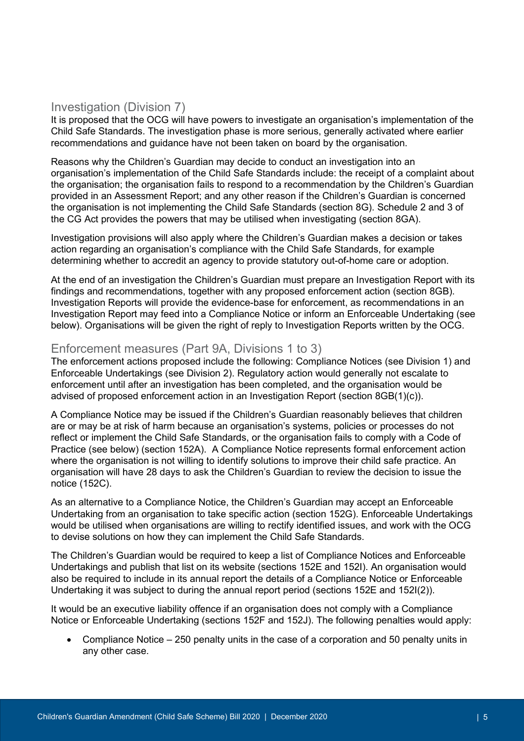#### Investigation (Division 7)

It is proposed that the OCG will have powers to investigate an organisation's implementation of the Child Safe Standards. The investigation phase is more serious, generally activated where earlier recommendations and guidance have not been taken on board by the organisation.

Reasons why the Children's Guardian may decide to conduct an investigation into an organisation's implementation of the Child Safe Standards include: the receipt of a complaint about the organisation; the organisation fails to respond to a recommendation by the Children's Guardian provided in an Assessment Report; and any other reason if the Children's Guardian is concerned the organisation is not implementing the Child Safe Standards (section 8G). Schedule 2 and 3 of the CG Act provides the powers that may be utilised when investigating (section 8GA).

Investigation provisions will also apply where the Children's Guardian makes a decision or takes action regarding an organisation's compliance with the Child Safe Standards, for example determining whether to accredit an agency to provide statutory out-of-home care or adoption.

At the end of an investigation the Children's Guardian must prepare an Investigation Report with its findings and recommendations, together with any proposed enforcement action (section 8GB). Investigation Reports will provide the evidence-base for enforcement, as recommendations in an Investigation Report may feed into a Compliance Notice or inform an Enforceable Undertaking (see below). Organisations will be given the right of reply to Investigation Reports written by the OCG.

#### Enforcement measures (Part 9A, Divisions 1 to 3)

The enforcement actions proposed include the following: Compliance Notices (see Division 1) and Enforceable Undertakings (see Division 2). Regulatory action would generally not escalate to enforcement until after an investigation has been completed, and the organisation would be advised of proposed enforcement action in an Investigation Report (section 8GB(1)(c)).

A Compliance Notice may be issued if the Children's Guardian reasonably believes that children are or may be at risk of harm because an organisation's systems, policies or processes do not reflect or implement the Child Safe Standards, or the organisation fails to comply with a Code of Practice (see below) (section 152A). A Compliance Notice represents formal enforcement action where the organisation is not willing to identify solutions to improve their child safe practice. An organisation will have 28 days to ask the Children's Guardian to review the decision to issue the notice (152C).

As an alternative to a Compliance Notice, the Children's Guardian may accept an Enforceable Undertaking from an organisation to take specific action (section 152G). Enforceable Undertakings would be utilised when organisations are willing to rectify identified issues, and work with the OCG to devise solutions on how they can implement the Child Safe Standards.

The Children's Guardian would be required to keep a list of Compliance Notices and Enforceable Undertakings and publish that list on its website (sections 152E and 152I). An organisation would also be required to include in its annual report the details of a Compliance Notice or Enforceable Undertaking it was subject to during the annual report period (sections 152E and 152I(2)).

It would be an executive liability offence if an organisation does not comply with a Compliance Notice or Enforceable Undertaking (sections 152F and 152J). The following penalties would apply:

• Compliance Notice – 250 penalty units in the case of a corporation and 50 penalty units in any other case.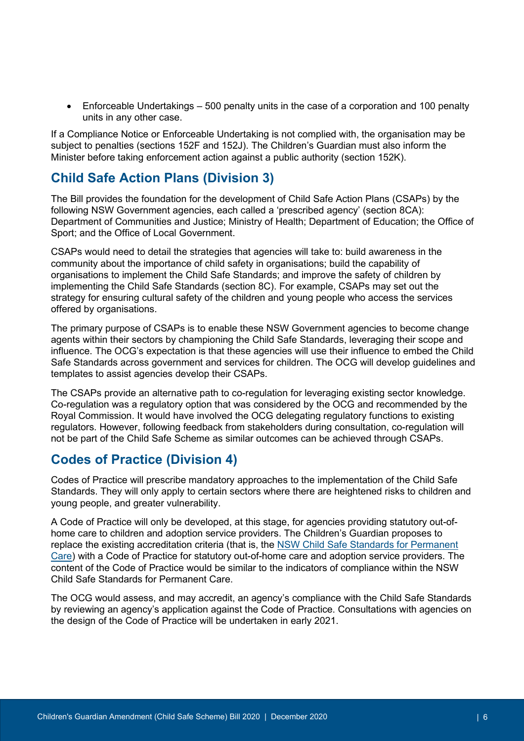• Enforceable Undertakings – 500 penalty units in the case of a corporation and 100 penalty units in any other case.

If a Compliance Notice or Enforceable Undertaking is not complied with, the organisation may be subject to penalties (sections 152F and 152J). The Children's Guardian must also inform the Minister before taking enforcement action against a public authority (section 152K).

## **Child Safe Action Plans (Division 3)**

The Bill provides the foundation for the development of Child Safe Action Plans (CSAPs) by the following NSW Government agencies, each called a 'prescribed agency' (section 8CA): Department of Communities and Justice; Ministry of Health; Department of Education; the Office of Sport; and the Office of Local Government.

CSAPs would need to detail the strategies that agencies will take to: build awareness in the community about the importance of child safety in organisations; build the capability of organisations to implement the Child Safe Standards; and improve the safety of children by implementing the Child Safe Standards (section 8C). For example, CSAPs may set out the strategy for ensuring cultural safety of the children and young people who access the services offered by organisations.

The primary purpose of CSAPs is to enable these NSW Government agencies to become change agents within their sectors by championing the Child Safe Standards, leveraging their scope and influence. The OCG's expectation is that these agencies will use their influence to embed the Child Safe Standards across government and services for children. The OCG will develop guidelines and templates to assist agencies develop their CSAPs.

The CSAPs provide an alternative path to co-regulation for leveraging existing sector knowledge. Co-regulation was a regulatory option that was considered by the OCG and recommended by the Royal Commission. It would have involved the OCG delegating regulatory functions to existing regulators. However, following feedback from stakeholders during consultation, co-regulation will not be part of the Child Safe Scheme as similar outcomes can be achieved through CSAPs.

# **Codes of Practice (Division 4)**

Codes of Practice will prescribe mandatory approaches to the implementation of the Child Safe Standards. They will only apply to certain sectors where there are heightened risks to children and young people, and greater vulnerability.

A Code of Practice will only be developed, at this stage, for agencies providing statutory out-ofhome care to children and adoption service providers. The Children's Guardian proposes to replace the existing accreditation criteria (that is, the [NSW Child Safe Standards for Permanent](https://www.kidsguardian.nsw.gov.au/ArticleDocuments/449/ChildSafeStandards_PermanentCare.pdf.aspx?Embed=Y)  [Care\)](https://www.kidsguardian.nsw.gov.au/ArticleDocuments/449/ChildSafeStandards_PermanentCare.pdf.aspx?Embed=Y) with a Code of Practice for statutory out-of-home care and adoption service providers. The content of the Code of Practice would be similar to the indicators of compliance within the NSW Child Safe Standards for Permanent Care.

The OCG would assess, and may accredit, an agency's compliance with the Child Safe Standards by reviewing an agency's application against the Code of Practice. Consultations with agencies on the design of the Code of Practice will be undertaken in early 2021.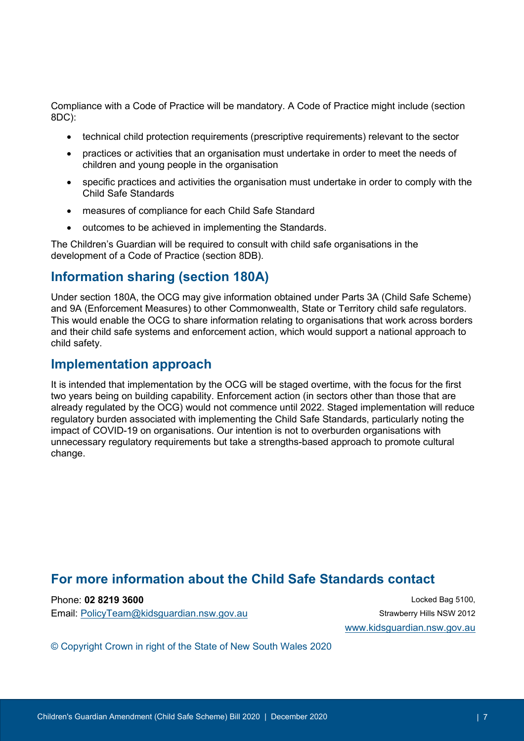Compliance with a Code of Practice will be mandatory. A Code of Practice might include (section 8DC):

- technical child protection requirements (prescriptive requirements) relevant to the sector
- practices or activities that an organisation must undertake in order to meet the needs of children and young people in the organisation
- specific practices and activities the organisation must undertake in order to comply with the Child Safe Standards
- measures of compliance for each Child Safe Standard
- outcomes to be achieved in implementing the Standards.

The Children's Guardian will be required to consult with child safe organisations in the development of a Code of Practice (section 8DB).

#### **Information sharing (section 180A)**

Under section 180A, the OCG may give information obtained under Parts 3A (Child Safe Scheme) and 9A (Enforcement Measures) to other Commonwealth, State or Territory child safe regulators. This would enable the OCG to share information relating to organisations that work across borders and their child safe systems and enforcement action, which would support a national approach to child safety.

#### **Implementation approach**

It is intended that implementation by the OCG will be staged overtime, with the focus for the first two years being on building capability. Enforcement action (in sectors other than those that are already regulated by the OCG) would not commence until 2022. Staged implementation will reduce regulatory burden associated with implementing the Child Safe Standards, particularly noting the impact of COVID-19 on organisations. Our intention is not to overburden organisations with unnecessary regulatory requirements but take a strengths-based approach to promote cultural change.

#### **For more information about the Child Safe Standards contact**

Phone: **02 8219 3600** Locked Bag 5100, Email: [PolicyTeam@kidsguardian.nsw.gov.au](mailto:PolicyTeam@kidsguardian.nsw.gov.au) Strawberry Hills NSW 2012

[www.kidsguardian.nsw.gov.au](http://www.kidsguardian.nsw.gov.au/)

© Copyright Crown in right of the State of New South Wales 2020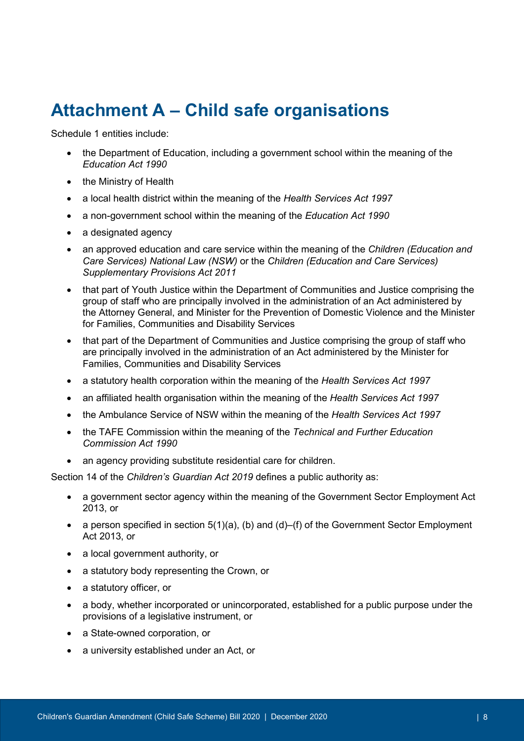# **Attachment A – Child safe organisations**

Schedule 1 entities include:

- the Department of Education, including a government school within the meaning of the *Education Act 1990*
- the Ministry of Health
- a local health district within the meaning of the *Health Services Act 1997*
- a non-government school within the meaning of the *Education Act 1990*
- a designated agency
- an approved education and care service within the meaning of the *Children (Education and Care Services) National Law (NSW)* or the *Children (Education and Care Services) Supplementary Provisions Act 2011*
- that part of Youth Justice within the Department of Communities and Justice comprising the group of staff who are principally involved in the administration of an Act administered by the Attorney General, and Minister for the Prevention of Domestic Violence and the Minister for Families, Communities and Disability Services
- that part of the Department of Communities and Justice comprising the group of staff who are principally involved in the administration of an Act administered by the Minister for Families, Communities and Disability Services
- a statutory health corporation within the meaning of the *Health Services Act 1997*
- an affiliated health organisation within the meaning of the *Health Services Act 1997*
- the Ambulance Service of NSW within the meaning of the *Health Services Act 1997*
- the TAFE Commission within the meaning of the *Technical and Further Education Commission Act 1990*
- an agency providing substitute residential care for children.

Section 14 of the *Children's Guardian Act 2019* defines a public authority as:

- a government sector agency within the meaning of the [Government Sector Employment Act](https://legislation.nsw.gov.au/view/html/inforce/current/act-2013-040)  [2013,](https://legislation.nsw.gov.au/view/html/inforce/current/act-2013-040) or
- a person specified in section  $5(1)(a)$ , (b) and (d)–(f) of the Government Sector Employment [Act 2013,](https://legislation.nsw.gov.au/view/html/inforce/current/act-2013-040) or
- a local government authority, or
- a statutory body representing the Crown, or
- a statutory officer, or
- a body, whether incorporated or unincorporated, established for a public purpose under the provisions of a legislative instrument, or
- a State-owned corporation, or
- a university established under an Act, or